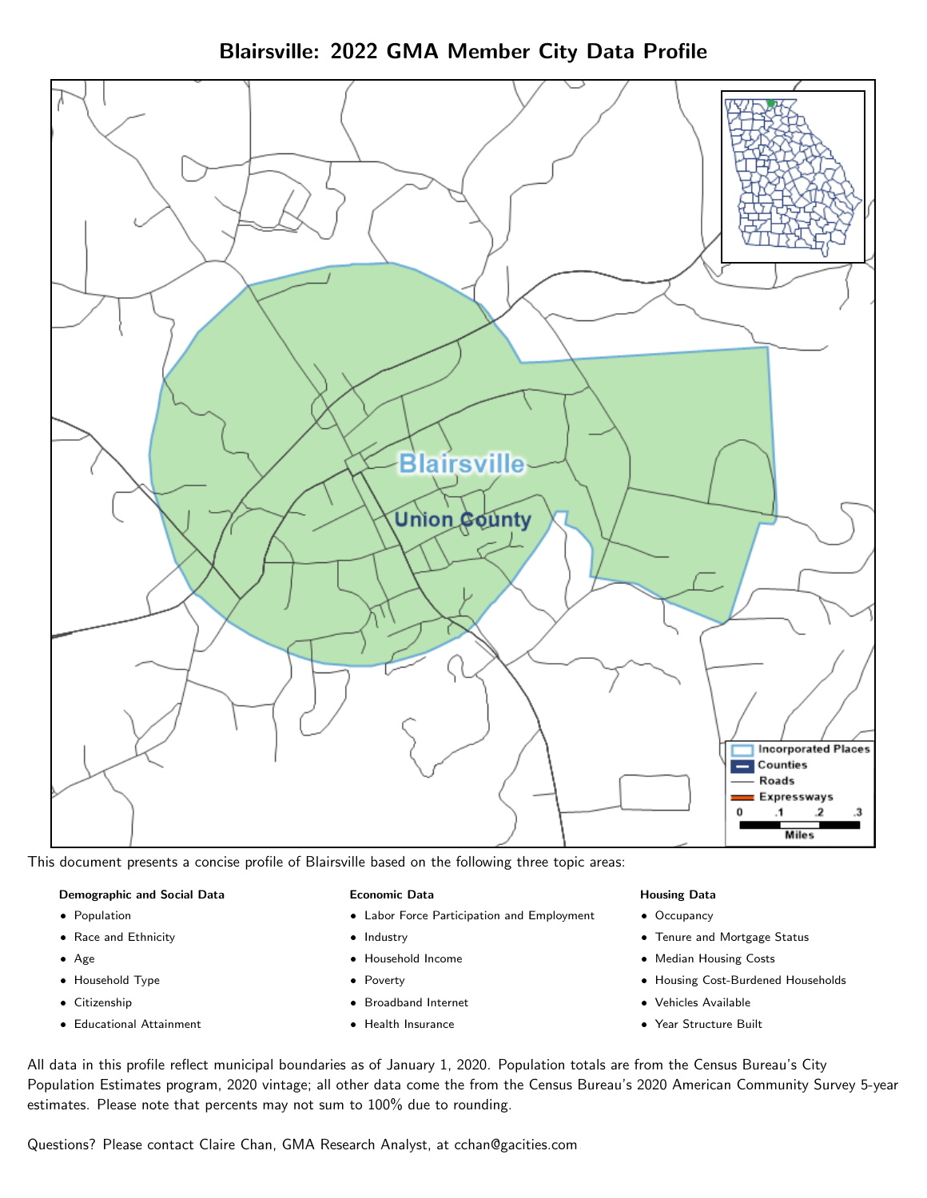Blairsville: 2022 GMA Member City Data Profile



This document presents a concise profile of Blairsville based on the following three topic areas:

#### Demographic and Social Data

- **•** Population
- Race and Ethnicity
- Age
- Household Type
- **Citizenship**
- Educational Attainment

### Economic Data

- Labor Force Participation and Employment
- Industry
- Household Income
- Poverty
- Broadband Internet
- Health Insurance

### Housing Data

- Occupancy
- Tenure and Mortgage Status
- Median Housing Costs
- Housing Cost-Burdened Households
- Vehicles Available
- Year Structure Built

All data in this profile reflect municipal boundaries as of January 1, 2020. Population totals are from the Census Bureau's City Population Estimates program, 2020 vintage; all other data come the from the Census Bureau's 2020 American Community Survey 5-year estimates. Please note that percents may not sum to 100% due to rounding.

Questions? Please contact Claire Chan, GMA Research Analyst, at [cchan@gacities.com.](mailto:cchan@gacities.com)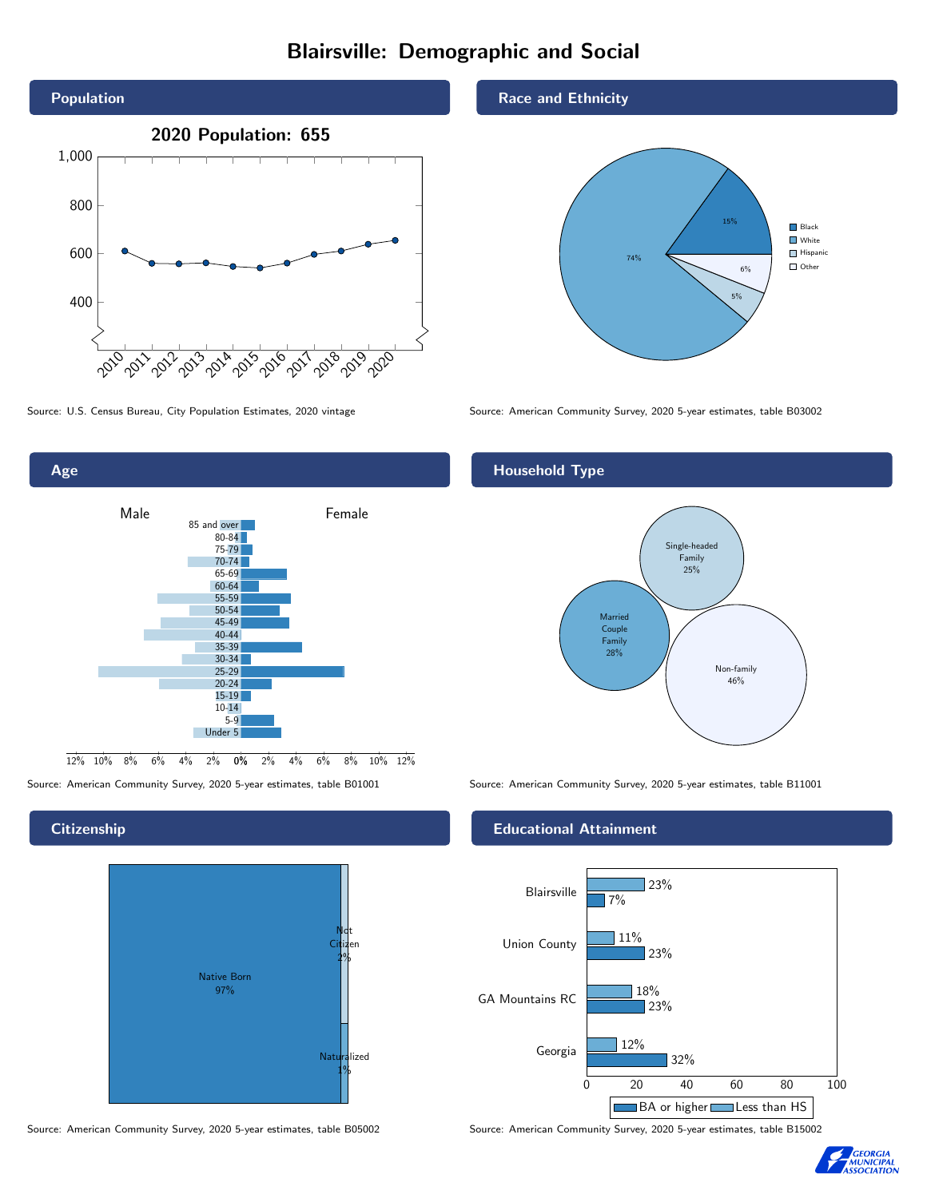# Blairsville: Demographic and Social





0% 2% 4% 6% 8% 10% 12% Male **Female** 12% 10% 8% 6% 4% 2% 85 and over 80-84 75-79 70-74 65-69 60-64 55-59 50-54 45-49 40-44 35-39 30-34 25-29 20-24  $15-19$ 10-14 5-9 Under 5

### **Citizenship**

Age



#### Source: American Community Survey, 2020 5-year estimates, table B05002 Source: American Community Survey, 2020 5-year estimates, table B15002

#### Race and Ethnicity



## Household Type



Source: American Community Survey, 2020 5-year estimates, table B01001 Source: American Community Survey, 2020 5-year estimates, table B11001

#### Educational Attainment



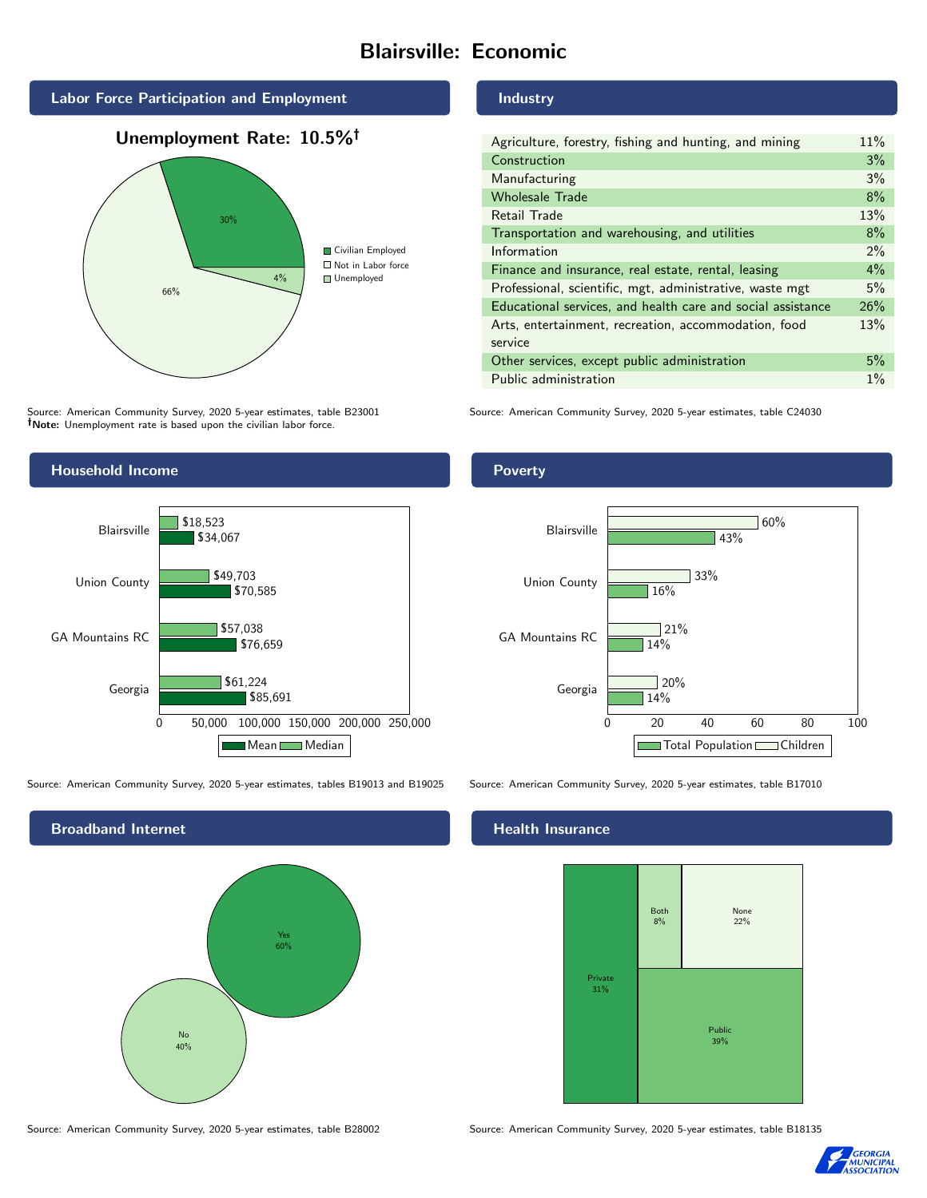# Blairsville: Economic







Source: American Community Survey, 2020 5-year estimates, table B23001 Note: Unemployment rate is based upon the civilian labor force.



| Agriculture, forestry, fishing and hunting, and mining      | 11%   |
|-------------------------------------------------------------|-------|
| Construction                                                | 3%    |
| Manufacturing                                               | 3%    |
| <b>Wholesale Trade</b>                                      | 8%    |
| Retail Trade                                                | 13%   |
| Transportation and warehousing, and utilities               | 8%    |
| Information                                                 | 2%    |
| Finance and insurance, real estate, rental, leasing         | 4%    |
| Professional, scientific, mgt, administrative, waste mgt    | 5%    |
| Educational services, and health care and social assistance | 26%   |
| Arts, entertainment, recreation, accommodation, food        | 13%   |
| service                                                     |       |
| Other services, except public administration                | 5%    |
| Public administration                                       | $1\%$ |

Source: American Community Survey, 2020 5-year estimates, table C24030



Source: American Community Survey, 2020 5-year estimates, tables B19013 and B19025 Source: American Community Survey, 2020 5-year estimates, table B17010



Poverty



## **Health Insurance**



Source: American Community Survey, 2020 5-year estimates, table B28002 Source: American Community Survey, 2020 5-year estimates, table B18135